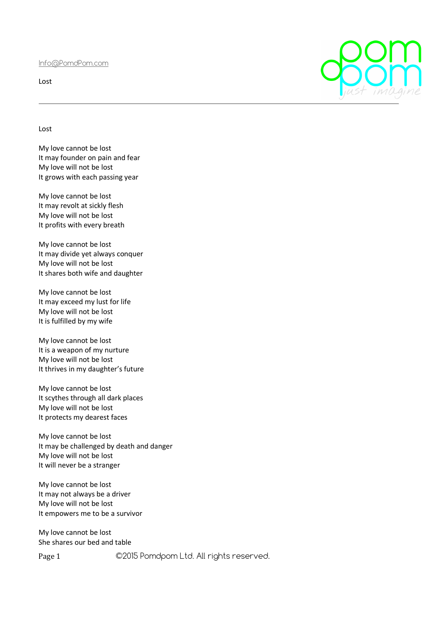Info@PomdPom.com

Lost

Lost

My love cannot be lost It may founder on pain and fear My love will not be lost It grows with each passing year

My love cannot be lost It may revolt at sickly flesh My love will not be lost It profits with every breath

My love cannot be lost It may divide yet always conquer My love will not be lost It shares both wife and daughter

My love cannot be lost It may exceed my lust for life My love will not be lost It is fulfilled by my wife

My love cannot be lost It is a weapon of my nurture My love will not be lost It thrives in my daughter's future

My love cannot be lost It scythes through all dark places My love will not be lost It protects my dearest faces

My love cannot be lost It may be challenged by death and danger My love will not be lost It will never be a stranger

My love cannot be lost It may not always be a driver My love will not be lost It empowers me to be a survivor

My love cannot be lost She shares our bed and table

Page 1 ©2015 Pomdpom Ltd. All rights reserved.